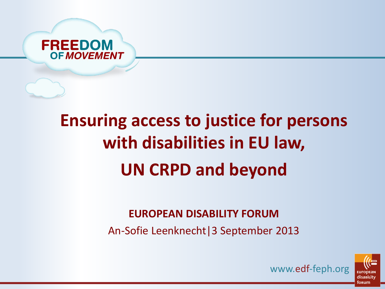

# **Ensuring access to justice for persons with disabilities in EU law, UN CRPD and beyond**

#### **EUROPEAN DISABILITY FORUM**

An-Sofie Leenknecht|3 September 2013



www.edf-feph.org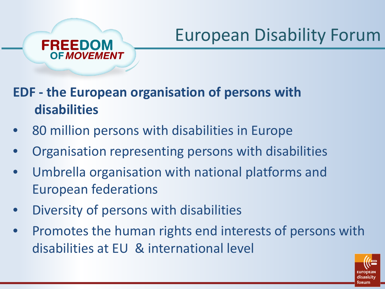#### **EDF - the European organisation of persons with disabilities**

- 80 million persons with disabilities in Europe
- Organisation representing persons with disabilities
- Umbrella organisation with national platforms and European federations
- Diversity of persons with disabilities

**FREEDOM** 

**OF MOVEMENT** 

• Promotes the human rights end interests of persons with disabilities at EU & international level

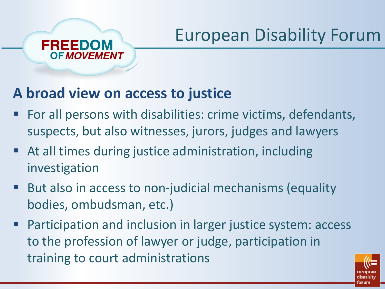### **A broad view on access to justice**

FREEDOM

- For all persons with disabilities: crime victims, defendants, suspects, but also witnesses, jurors, judges and lawyers
- At all times during justice administration, including investigation
- But also in access to non-judicial mechanisms (equality bodies, ombudsman, etc.)
- Participation and inclusion in larger justice system: access to the profession of lawyer or judge, participation in training to court administrations

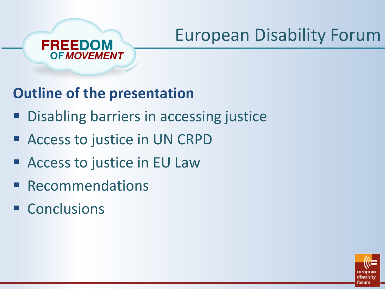

### **Outline of the presentation**

- **Disabling barriers in accessing justice**
- Access to justice in UN CRPD
- Access to justice in EU Law
- **Recommendations**
- Conclusions

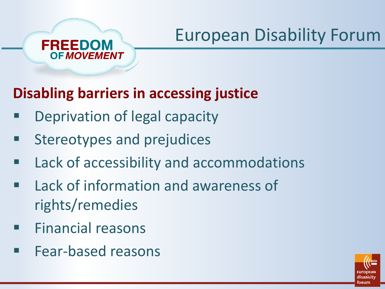#### FREEDOM **OF MOVEMENT**

### **Disabling barriers in accessing justice**

- Deprivation of legal capacity
- Stereotypes and prejudices
- Lack of accessibility and accommodations
- Lack of information and awareness of rights/remedies
- Financial reasons
- Fear-based reasons

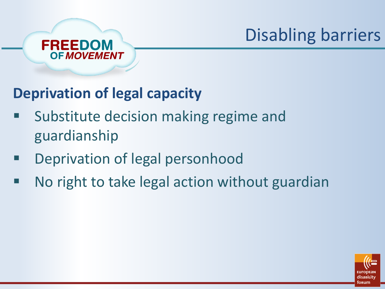# Disabling barriers



#### **Deprivation of legal capacity**

- Substitute decision making regime and guardianship
- Deprivation of legal personhood
- No right to take legal action without guardian

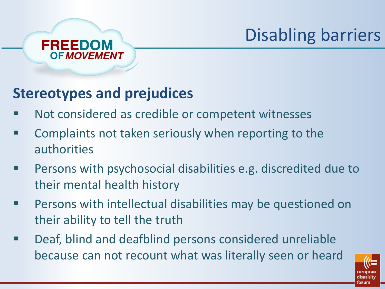# Disabling barriers

#### **FREEDOM OF MOVEMENT**

### **Stereotypes and prejudices**

- Not considered as credible or competent witnesses
- **EXTERGHT Complaints not taken seriously when reporting to the** authorities
- **Persons with psychosocial disabilities e.g. discredited due to** their mental health history
- **Persons with intellectual disabilities may be questioned on** their ability to tell the truth
- Deaf, blind and deafblind persons considered unreliable because can not recount what was literally seen or heard

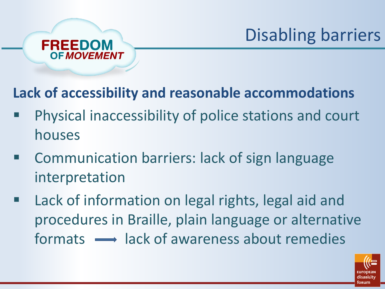

**Lack of accessibility and reasonable accommodations**

- Physical inaccessibility of police stations and court houses
- Communication barriers: lack of sign language interpretation
- Lack of information on legal rights, legal aid and procedures in Braille, plain language or alternative  $formats \rightarrow \lvert \text{ack of awareness about remedies}$

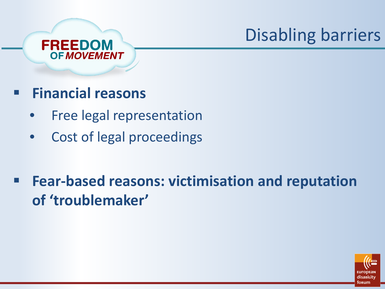## Disabling barriers



- **Financial reasons** 
	- Free legal representation
	- Cost of legal proceedings
- **Fear-based reasons: victimisation and reputation of 'troublemaker'**

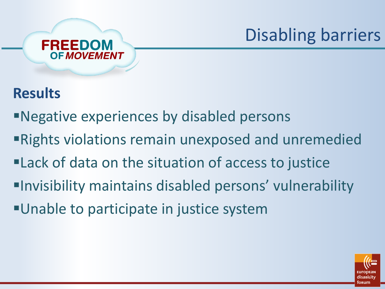## Disabling barriers



#### **Results**

- Negative experiences by disabled persons
- Rights violations remain unexposed and unremedied
- Lack of data on the situation of access to justice
- Invisibility maintains disabled persons' vulnerability
- Unable to participate in justice system

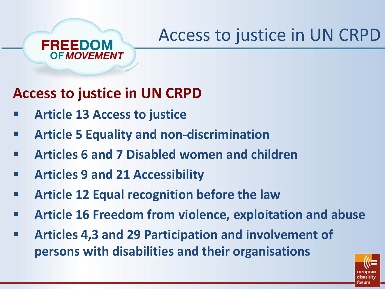### **Access to justice in UN CRPD**

**Article 13 Access to justice**

FREEDOM

- **Article 5 Equality and non-discrimination**
- **Articles 6 and 7 Disabled women and children**
- **Articles 9 and 21 Accessibility**
- **Article 12 Equal recognition before the law**
- **Article 16 Freedom from violence, exploitation and abuse**
- **Articles 4,3 and 29 Participation and involvement of persons with disabilities and their organisations**

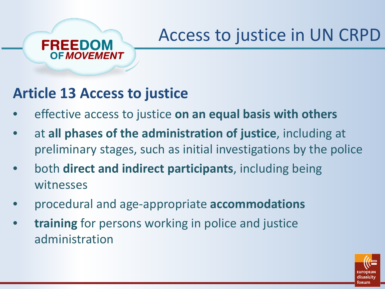#### **Article 13 Access to justice**

FREEDOM

- effective access to justice on an equal basis with others
- at **all phases of the administration of justice**, including at preliminary stages, such as initial investigations by the police
- both **direct and indirect participants**, including being witnesses
- procedural and age-appropriate **accommodations**
- **training** for persons working in police and justice administration

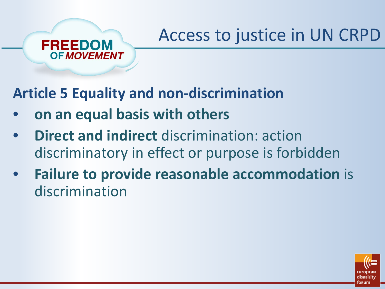**Article 5 Equality and non-discrimination** 

• **on an equal basis with others** 

**FREEDOM** 

- **Direct and indirect** discrimination: action discriminatory in effect or purpose is forbidden
- **Failure to provide reasonable accommodation** is discrimination

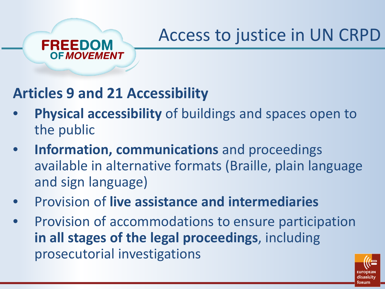#### **Articles 9 and 21 Accessibility**

**FREEDOM** 

- **Physical accessibility** of buildings and spaces open to the public
- **Information, communications** and proceedings available in alternative formats (Braille, plain language and sign language)
- Provision of **live assistance and intermediaries**
- Provision of accommodations to ensure participation **in all stages of the legal proceedings**, including prosecutorial investigations

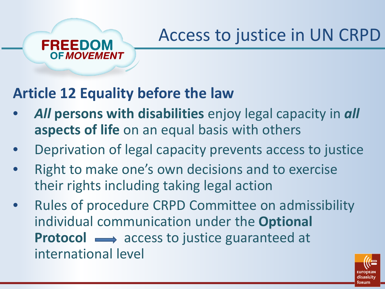#### **Article 12 Equality before the law**

FREEDOM

- *All* **persons with disabilities** enjoy legal capacity in *all* **aspects of life** on an equal basis with others
- Deprivation of legal capacity prevents access to justice
- Right to make one's own decisions and to exercise their rights including taking legal action
- Rules of procedure CRPD Committee on admissibility individual communication under the **Optional Protocol**  $\longrightarrow$  **access to justice guaranteed at** international level

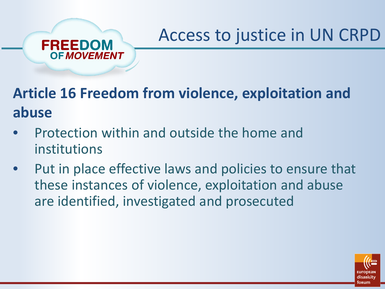

• Protection within and outside the home and institutions

FREEDOM

**OF MOVEMENT** 

Put in place effective laws and policies to ensure that these instances of violence, exploitation and abuse are identified, investigated and prosecuted

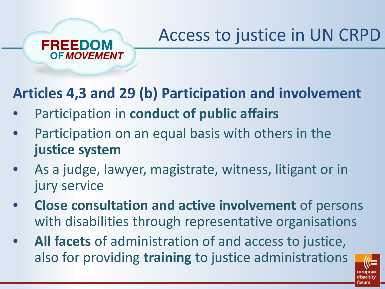#### **Articles 4,3 and 29 (b) Participation and involvement**

• Participation in **conduct of public affairs**

FREEDOM

- Participation on an equal basis with others in the **justice system**
- As a judge, lawyer, magistrate, witness, litigant or in jury service
- **Close consultation and active involvement** of persons with disabilities through representative organisations
- **All facets** of administration of and access to justice, also for providing **training** to justice administrations

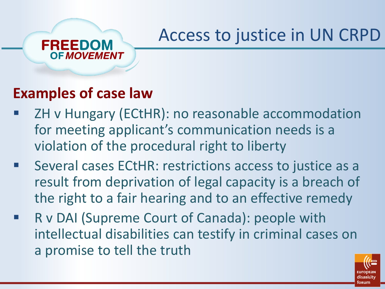#### **Examples of case law**

**OF MOVEMENT** 

FREEDOM

- ZH v Hungary (ECtHR): no reasonable accommodation for meeting applicant's communication needs is a violation of the procedural right to liberty
- **EXECT:** Several cases ECtHR: restrictions access to justice as a result from deprivation of legal capacity is a breach of the right to a fair hearing and to an effective remedy
- R v DAI (Supreme Court of Canada): people with intellectual disabilities can testify in criminal cases on a promise to tell the truth

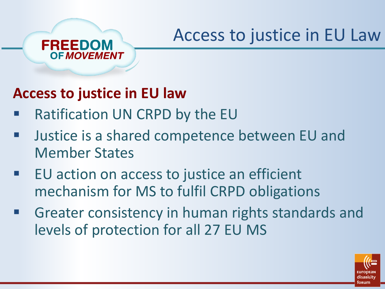#### **Access to justice in EU law**

**FREEDOM** 

- Ratification UN CRPD by the EU
- Justice is a shared competence between EU and Member States
- EU action on access to justice an efficient mechanism for MS to fulfil CRPD obligations
- Greater consistency in human rights standards and levels of protection for all 27 EU MS

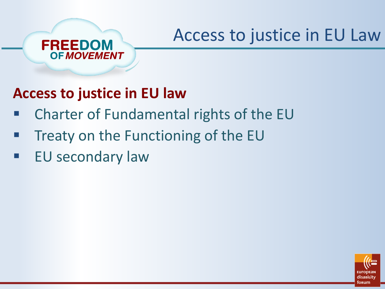

- Charter of Fundamental rights of the EU
- Treaty on the Functioning of the EU
- EU secondary law

**FREEDOM** 

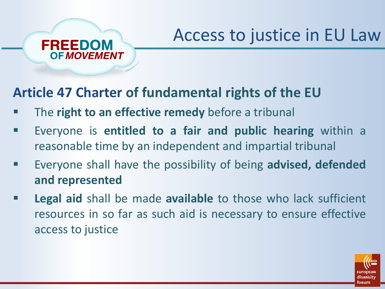#### **Article 47 Charter of fundamental rights of the EU**

The **right to an effective remedy** before a tribunal

FREEDOM

- Everyone is **entitled to a fair and public hearing** within a reasonable time by an independent and impartial tribunal
- Everyone shall have the possibility of being **advised, defended and represented**
- **Legal aid** shall be made **available** to those who lack sufficient resources in so far as such aid is necessary to ensure effective access to justice

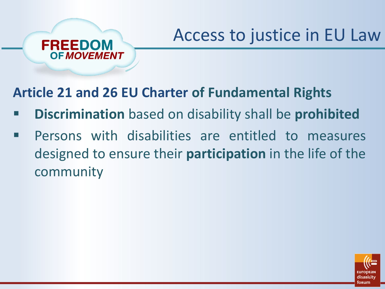**Article 21 and 26 EU Charter of Fundamental Rights**

FREEDOM

- **Discrimination** based on disability shall be **prohibited**
- **Persons with disabilities are entitled to measures** designed to ensure their **participation** in the life of the community

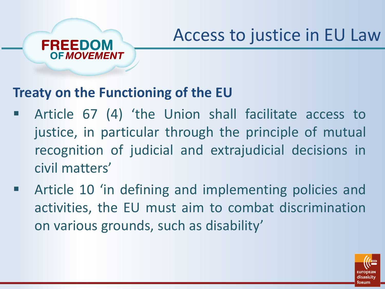#### **Treaty on the Functioning of the EU**

FREEDOM

- Article 67 (4) 'the Union shall facilitate access to justice, in particular through the principle of mutual recognition of judicial and extrajudicial decisions in civil matters'
- Article 10 'in defining and implementing policies and activities, the EU must aim to combat discrimination on various grounds, such as disability'

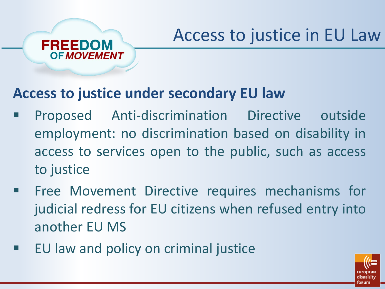

#### **Access to justice under secondary EU law**

- Proposed Anti-discrimination Directive outside employment: no discrimination based on disability in access to services open to the public, such as access to justice
- Free Movement Directive requires mechanisms for judicial redress for EU citizens when refused entry into another EU MS
- EU law and policy on criminal justice

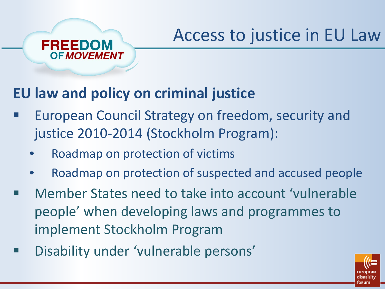

FREEDOM

- European Council Strategy on freedom, security and justice 2010-2014 (Stockholm Program):
	- Roadmap on protection of victims
	- Roadmap on protection of suspected and accused people
- Member States need to take into account 'vulnerable people' when developing laws and programmes to implement Stockholm Program
- Disability under 'vulnerable persons'

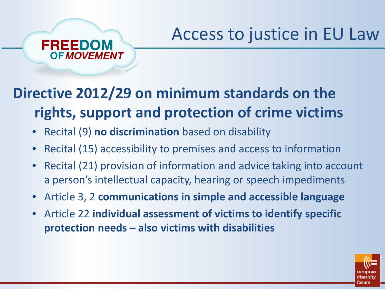### **Directive 2012/29 on minimum standards on the rights, support and protection of crime victims**

• Recital (9) **no discrimination** based on disability

FREEDOM

- Recital (15) accessibility to premises and access to information
- Recital (21) provision of information and advice taking into account a person's intellectual capacity, hearing or speech impediments
- Article 3, 2 **communications in simple and accessible language**
- Article 22 **individual assessment of victims to identify specific protection needs – also victims with disabilities**

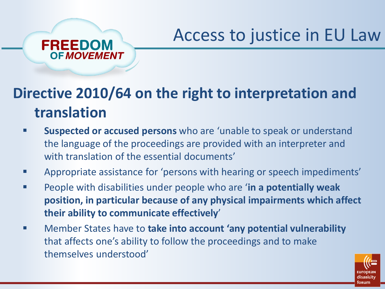

### **Directive 2010/64 on the right to interpretation and translation**

- **Suspected or accused persons** who are 'unable to speak or understand the language of the proceedings are provided with an interpreter and with translation of the essential documents'
- **EXPEDENT Appropriate assistance for 'persons with hearing or speech impediments'**
- People with disabilities under people who are '**in a potentially weak position, in particular because of any physical impairments which affect their ability to communicate effectively**'
- Member States have to **take into account 'any potential vulnerability**  that affects one's ability to follow the proceedings and to make themselves understood'

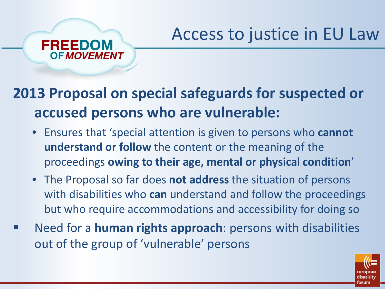

#### **2013 Proposal on special safeguards for suspected or accused persons who are vulnerable:**

- Ensures that 'special attention is given to persons who **cannot understand or follow** the content or the meaning of the proceedings **owing to their age, mental or physical condition**'
- The Proposal so far does **not address** the situation of persons with disabilities who **can** understand and follow the proceedings but who require accommodations and accessibility for doing so
- Need for a **human rights approach**: persons with disabilities out of the group of 'vulnerable' persons

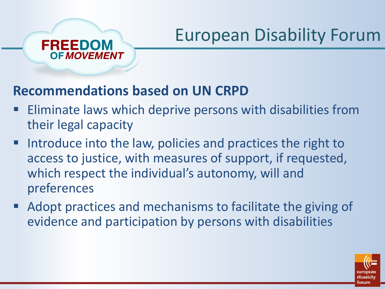#### **Recommendations based on UN CRPD**

FREEDOM

- **Eliminate laws which deprive persons with disabilities from** their legal capacity
- Introduce into the law, policies and practices the right to access to justice, with measures of support, if requested, which respect the individual's autonomy, will and preferences
- Adopt practices and mechanisms to facilitate the giving of evidence and participation by persons with disabilities

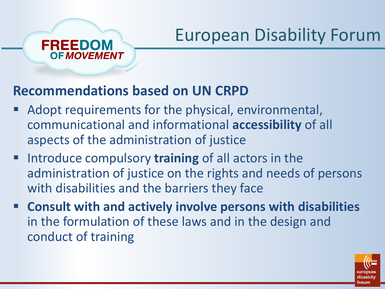## **Recommendations based on UN CRPD**

FREEDOM

- Adopt requirements for the physical, environmental, communicational and informational **accessibility** of all aspects of the administration of justice
- **Introduce compulsory training of all actors in the** administration of justice on the rights and needs of persons with disabilities and the barriers they face
- Consult with and actively involve persons with disabilities in the formulation of these laws and in the design and conduct of training

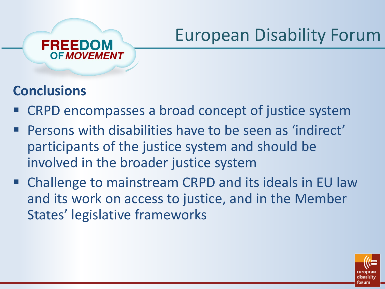

FREEDOM

#### **Conclusions**

- CRPD encompasses a broad concept of justice system
- Persons with disabilities have to be seen as 'indirect' participants of the justice system and should be involved in the broader justice system
- Challenge to mainstream CRPD and its ideals in EU law and its work on access to justice, and in the Member States' legislative frameworks

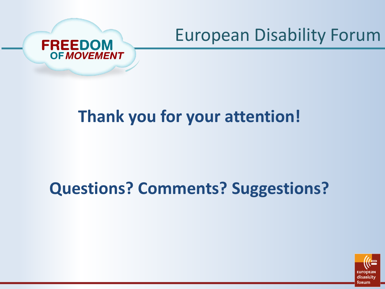



### **Thank you for your attention!**

### **Questions? Comments? Suggestions?**